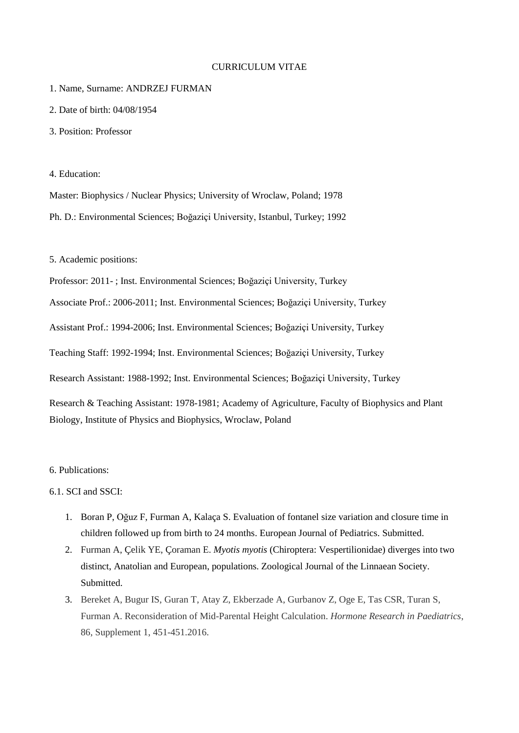## CURRICULUM VITAE

#### 1. Name, Surname: ANDRZEJ FURMAN

- 2. Date of birth: 04/08/1954
- 3. Position: Professor

#### 4. Education:

Master: Biophysics / Nuclear Physics; University of Wroclaw, Poland; 1978 Ph. D.: Environmental Sciences; Boğaziçi University, Istanbul, Turkey; 1992

5. Academic positions:

Professor: 2011- ; Inst. Environmental Sciences; Boğaziçi University, Turkey

Associate Prof.: 2006-2011; Inst. Environmental Sciences; Boğaziçi University, Turkey

Assistant Prof.: 1994-2006; Inst. Environmental Sciences; Boğaziçi University, Turkey

Teaching Staff: 1992-1994; Inst. Environmental Sciences; Boğaziçi University, Turkey

Research Assistant: 1988-1992; Inst. Environmental Sciences; Boğaziçi University, Turkey

Research & Teaching Assistant: 1978-1981; Academy of Agriculture, Faculty of Biophysics and Plant Biology, Institute of Physics and Biophysics, Wroclaw, Poland

#### 6. Publications:

# 6.1. SCI and SSCI:

- 1. Boran P, Oğuz F, Furman A, Kalaça S. Evaluation of fontanel size variation and closure time in children followed up from birth to 24 months. European Journal of Pediatrics. Submitted.
- 2. Furman A, Çelik YE, Çoraman E. *Myotis myotis* (Chiroptera: Vespertilionidae) diverges into two distinct, Anatolian and European, populations. Zoological Journal of the Linnaean Society. Submitted.
- 3. Bereket A, Bugur IS, Guran T, Atay Z, Ekberzade A, Gurbanov Z, Oge E, Tas CSR, Turan S, Furman A. Reconsideration of Mid-Parental Height Calculation. *Hormone Research in Paediatrics*, 86, Supplement 1, 451-451.2016.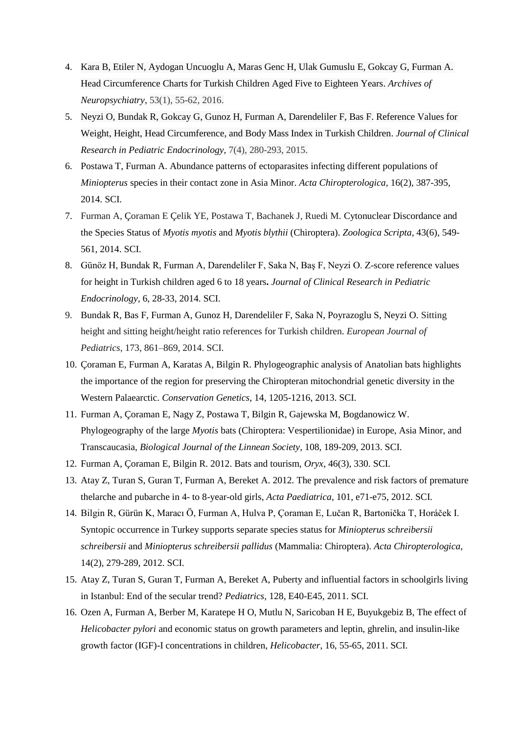- 4. Kara B, Etiler N, Aydogan Uncuoglu A, Maras Genc H, Ulak Gumuslu E, Gokcay G, Furman A. Head Circumference Charts for Turkish Children Aged Five to Eighteen Years. *Archives of Neuropsychiatry*, 53(1), 55-62, 2016.
- 5. Neyzi O, Bundak R, Gokcay G, Gunoz H, Furman A, Darendeliler F, Bas F. Reference Values for Weight, Height, Head Circumference, and Body Mass Index in Turkish Children. *Journal of Clinical Research in Pediatric Endocrinology*, 7(4), 280-293, 2015.
- 6. Postawa T, Furman A. Abundance patterns of ectoparasites infecting different populations of *Miniopterus* species in their contact zone in Asia Minor. *Acta Chiropterologica*, 16(2), 387-395, 2014. SCI.
- 7. Furman A, Çoraman E Çelik YE, Postawa T, Bachanek J, Ruedi M. Cytonuclear Discordance and the Species Status of *Myotis myotis* and *Myotis blythii* (Chiroptera). *Zoologica Scripta*, 43(6), 549- 561, 2014. SCI.
- 8. Günöz H, Bundak R, Furman A, Darendeliler F, Saka N, Baş F, Neyzi O. Z-score reference values for height in Turkish children aged 6 to 18 years**.** *Journal of Clinical Research in Pediatric Endocrinology,* 6, 28-33, 2014. SCI.
- 9. Bundak R, Bas F, Furman A, Gunoz H, Darendeliler F, Saka N, Poyrazoglu S, Neyzi O. Sitting height and sitting height/height ratio references for Turkish children. *European Journal of Pediatrics*, 173, 861–869, 2014. SCI.
- 10. Çoraman E, Furman A, Karatas A, Bilgin R. Phylogeographic analysis of Anatolian bats highlights the importance of the region for preserving the Chiropteran mitochondrial genetic diversity in the Western Palaearctic. *Conservation Genetics*, 14, 1205-1216, 2013. SCI.
- 11. Furman A, Çoraman E, Nagy Z, Postawa T, Bilgin R, Gajewska M, Bogdanowicz W. Phylogeography of the large *Myotis* bats (Chiroptera: Vespertilionidae) in Europe, Asia Minor, and Transcaucasia, *Biological Journal of the Linnean Society*, 108, 189-209, 2013. SCI.
- 12. Furman A, Çoraman E, Bilgin R. 2012. Bats and tourism, *Oryx*, 46(3), 330. SCI.
- 13. Atay Z, Turan S, Guran T, Furman A, Bereket A. 2012. The prevalence and risk factors of premature thelarche and pubarche in 4- to 8-year-old girls, *Acta Paediatrica*, 101, e71-e75, 2012. SCI.
- 14. Bilgin R, Gürün K, Maracı Ö, Furman A, Hulva P, Çoraman E, Lučan R, Bartonička T, Horáček I. Syntopic occurrence in Turkey supports separate species status for *Miniopterus schreibersii schreibersii* and *Miniopterus schreibersii pallidus* (Mammalia: Chiroptera). *Acta Chiropterologica*, 14(2), 279-289, 2012. SCI.
- 15. Atay Z, Turan S, Guran T, Furman A, Bereket A, Puberty and influential factors in schoolgirls living in Istanbul: End of the secular trend? *Pediatrics*, 128, E40-E45, 2011. SCI.
- 16. Ozen A, Furman A, Berber M, Karatepe H O, Mutlu N, Saricoban H E, Buyukgebiz B, The effect of *Helicobacter pylori* and economic status on growth parameters and leptin, ghrelin, and insulin-like growth factor (IGF)-I concentrations in children, *Helicobacter*, 16, 55-65, 2011. SCI.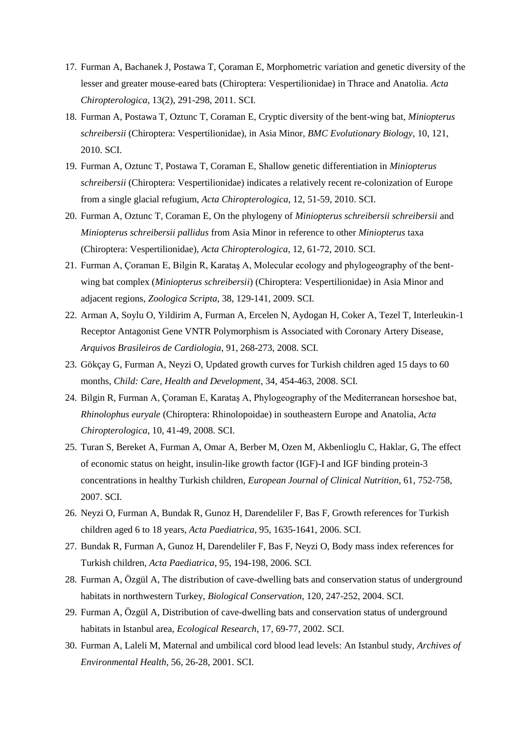- 17. Furman A, Bachanek J, Postawa T, Çoraman E, Morphometric variation and genetic diversity of the lesser and greater mouse-eared bats (Chiroptera: Vespertilionidae) in Thrace and Anatolia. *Acta Chiropterologica*, 13(2), 291-298, 2011. SCI.
- 18. Furman A, Postawa T, Oztunc T, Coraman E, Cryptic diversity of the bent-wing bat, *Miniopterus schreibersii* (Chiroptera: Vespertilionidae), in Asia Minor, *BMC Evolutionary Biology*, 10, 121, 2010. SCI.
- 19. Furman A, Oztunc T, Postawa T, Coraman E, Shallow genetic differentiation in *Miniopterus schreibersii* (Chiroptera: Vespertilionidae) indicates a relatively recent re-colonization of Europe from a single glacial refugium, *Acta Chiropterologica*, 12, 51-59, 2010. SCI.
- 20. Furman A, Oztunc T, Coraman E, On the phylogeny of *Miniopterus schreibersii schreibersii* and *Miniopterus schreibersii pallidus* from Asia Minor in reference to other *Miniopterus* taxa (Chiroptera: Vespertilionidae), *Acta Chiropterologica*, 12, 61-72, 2010. SCI.
- 21. Furman A, Çoraman E, Bilgin R, Karataş A, Molecular ecology and phylogeography of the bentwing bat complex (*Miniopterus schreibersii*) (Chiroptera: Vespertilionidae) in Asia Minor and adjacent regions, *Zoologica Scripta*, 38, 129-141, 2009. SCI.
- 22. Arman A, Soylu O, Yildirim A, Furman A, Ercelen N, Aydogan H, Coker A, Tezel T, Interleukin-1 Receptor Antagonist Gene VNTR Polymorphism is Associated with Coronary Artery Disease, *Arquivos Brasileiros de Cardiologia*, 91, 268-273, 2008. SCI.
- 23. Gökçay G, Furman A, Neyzi O, Updated growth curves for Turkish children aged 15 days to 60 months, *Child: Care, Health and Development*, 34, 454-463, 2008. SCI.
- 24. Bilgin R, Furman A, Çoraman E, Karataş A, Phylogeography of the Mediterranean horseshoe bat, *Rhinolophus euryale* (Chiroptera: Rhinolopoidae) in southeastern Europe and Anatolia, *Acta Chiropterologica*, 10, 41-49, 2008. SCI.
- 25. Turan S, Bereket A, Furman A, Omar A, Berber M, Ozen M, Akbenlioglu C, Haklar, G, The effect of economic status on height, insulin-like growth factor (IGF)-I and IGF binding protein-3 concentrations in healthy Turkish children, *European Journal of Clinical Nutrition*, 61, 752-758, 2007. SCI.
- 26. Neyzi O, Furman A, Bundak R, Gunoz H, Darendeliler F, Bas F, Growth references for Turkish children aged 6 to 18 years, *Acta Paediatrica*, 95, 1635-1641, 2006. SCI.
- 27. Bundak R, Furman A, Gunoz H, Darendeliler F, Bas F, Neyzi O, Body mass index references for Turkish children, *Acta Paediatrica*, 95, 194-198, 2006. SCI.
- 28. Furman A, Özgül A, The distribution of cave-dwelling bats and conservation status of underground habitats in northwestern Turkey, *Biological Conservation*, 120, 247-252, 2004. SCI.
- 29. Furman A, Özgül A, Distribution of cave-dwelling bats and conservation status of underground habitats in Istanbul area, *Ecological Research*, 17, 69-77, 2002. SCI.
- 30. Furman A, Laleli M, Maternal and umbilical cord blood lead levels: An Istanbul study, *Archives of Environmental Health*, 56, 26-28, 2001. SCI.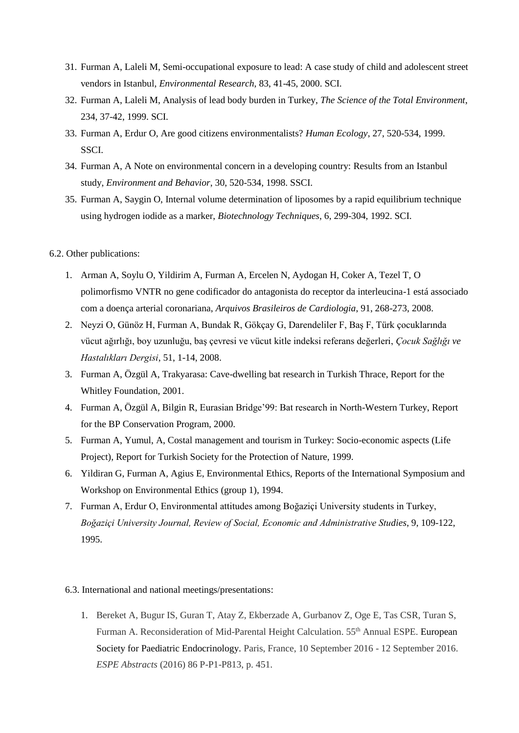- 31. Furman A, Laleli M, Semi-occupational exposure to lead: A case study of child and adolescent street vendors in Istanbul, *Environmental Research*, 83, 41-45, 2000. SCI.
- 32. Furman A, Laleli M, Analysis of lead body burden in Turkey, *The Science of the Total Environment*, 234, 37-42, 1999. SCI.
- 33. Furman A, Erdur O, Are good citizens environmentalists? *Human Ecology*, 27, 520-534, 1999. SSCI.
- 34. Furman A, A Note on environmental concern in a developing country: Results from an Istanbul study, *Environment and Behavior*, 30, 520-534, 1998. SSCI.
- 35. Furman A, Saygin O, Internal volume determination of liposomes by a rapid equilibrium technique using hydrogen iodide as a marker, *Biotechnology Techniques*, 6, 299-304, 1992. SCI.

# 6.2. Other publications:

- 1. Arman A, Soylu O, Yildirim A, Furman A, Ercelen N, Aydogan H, Coker A, Tezel T, O polimorfismo VNTR no gene codificador do antagonista do receptor da interleucina-1 está associado com a doença arterial coronariana, *Arquivos Brasileiros de Cardiologia*, 91, 268-273, 2008.
- 2. Neyzi O, Günöz H, Furman A, Bundak R, Gökçay G, Darendeliler F, Baş F, Türk çocuklarında vücut ağırlığı, boy uzunluğu, baş çevresi ve vücut kitle indeksi referans değerleri, *Çocuk Sağlığı ve Hastalıkları Dergisi*, 51, 1-14, 2008.
- 3. Furman A, Özgül A, Trakyarasa: Cave-dwelling bat research in Turkish Thrace, Report for the Whitley Foundation, 2001.
- 4. Furman A, Özgül A, Bilgin R, Eurasian Bridge'99: Bat research in North-Western Turkey, Report for the BP Conservation Program, 2000.
- 5. Furman A, Yumul, A, Costal management and tourism in Turkey: Socio-economic aspects (Life Project), Report for Turkish Society for the Protection of Nature, 1999.
- 6. Yildiran G, Furman A, Agius E, Environmental Ethics, Reports of the International Symposium and Workshop on Environmental Ethics (group 1), 1994.
- 7. Furman A, Erdur O, Environmental attitudes among Boğaziçi University students in Turkey, *Boğaziçi University Journal, Review of Social, Economic and Administrative Studies*, 9, 109-122, 1995.

# 6.3. International and national meetings/presentations:

1. Bereket A, Bugur IS, Guran T, Atay Z, Ekberzade A, Gurbanov Z, Oge E, Tas CSR, Turan S, Furman A. Reconsideration of Mid-Parental Height Calculation. 55<sup>th</sup> Annual ESPE. European Society for Paediatric Endocrinology. Paris, France, 10 September 2016 - 12 September 2016. *ESPE Abstracts* (2016) 86 P-P1-P813, p. 451.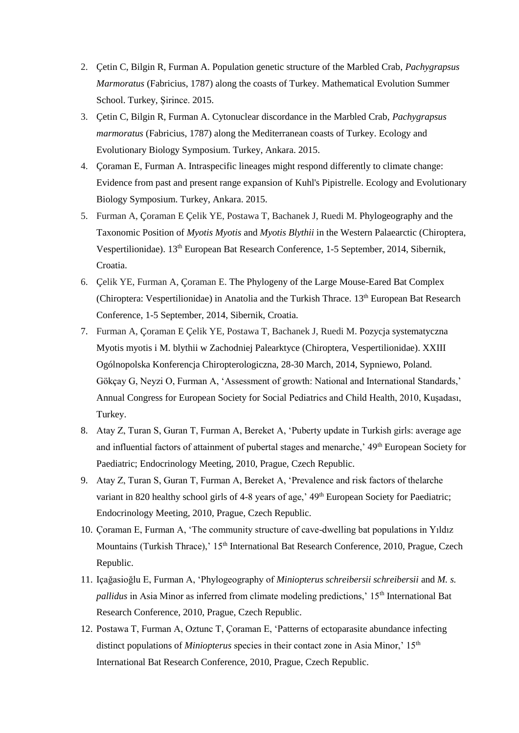- 2. Çetin C, Bilgin R, Furman A. Population genetic structure of the Marbled Crab, *Pachygrapsus Marmoratus* (Fabricius, 1787) along the coasts of Turkey. Mathematical Evolution Summer School. Turkey, Şirince. 2015.
- 3. Çetin C, Bilgin R, Furman A. Cytonuclear discordance in the Marbled Crab, *Pachygrapsus marmoratus* (Fabricius, 1787) along the Mediterranean coasts of Turkey. Ecology and Evolutionary Biology Symposium. Turkey, Ankara. 2015.
- 4. Çoraman E, Furman A. Intraspecific lineages might respond differently to climate change: Evidence from past and present range expansion of Kuhl's Pipistrelle. Ecology and Evolutionary Biology Symposium. Turkey, Ankara. 2015.
- 5. Furman A, Çoraman E Çelik YE, Postawa T, Bachanek J, Ruedi M. Phylogeography and the Taxonomic Position of *Myotis Myotis* and *Myotis Blythii* in the Western Palaearctic (Chiroptera, Vespertilionidae). 13th European Bat Research Conference, 1-5 September, 2014, Sibernik, Croatia.
- 6. Çelik YE, Furman A, Çoraman E. The Phylogeny of the Large Mouse-Eared Bat Complex (Chiroptera: Vespertilionidae) in Anatolia and the Turkish Thrace. 13<sup>th</sup> European Bat Research Conference, 1-5 September, 2014, Sibernik, Croatia.
- 7. Furman A, Çoraman E Çelik YE, Postawa T, Bachanek J, Ruedi M. Pozycja systematyczna Myotis myotis i M. blythii w Zachodniej Palearktyce (Chiroptera, Vespertilionidae). XXIII Ogólnopolska Konferencja Chiropterologiczna, 28-30 March, 2014, Sypniewo, Poland. Gökçay G, Neyzi O, Furman A, 'Assessment of growth: National and International Standards,' Annual Congress for European Society for Social Pediatrics and Child Health, 2010, Kuşadası, Turkey.
- 8. Atay Z, Turan S, Guran T, Furman A, Bereket A, 'Puberty update in Turkish girls: average age and influential factors of attainment of pubertal stages and menarche,' 49<sup>th</sup> European Society for Paediatric; Endocrinology Meeting, 2010, Prague, Czech Republic.
- 9. Atay Z, Turan S, Guran T, Furman A, Bereket A, 'Prevalence and risk factors of thelarche variant in 820 healthy school girls of 4-8 years of age,' 49<sup>th</sup> European Society for Paediatric; Endocrinology Meeting, 2010, Prague, Czech Republic.
- 10. Çoraman E, Furman A, 'The community structure of cave-dwelling bat populations in Yıldız Mountains (Turkish Thrace),' 15<sup>th</sup> International Bat Research Conference, 2010, Prague, Czech Republic.
- 11. Içağasioğlu E, Furman A, 'Phylogeography of *Miniopterus schreibersii schreibersii* and *M. s. pallidus* in Asia Minor as inferred from climate modeling predictions,' 15<sup>th</sup> International Bat Research Conference, 2010, Prague, Czech Republic.
- 12. Postawa T, Furman A, Oztunc T, Çoraman E, 'Patterns of ectoparasite abundance infecting distinct populations of *Miniopterus* species in their contact zone in Asia Minor,' 15<sup>th</sup> International Bat Research Conference, 2010, Prague, Czech Republic.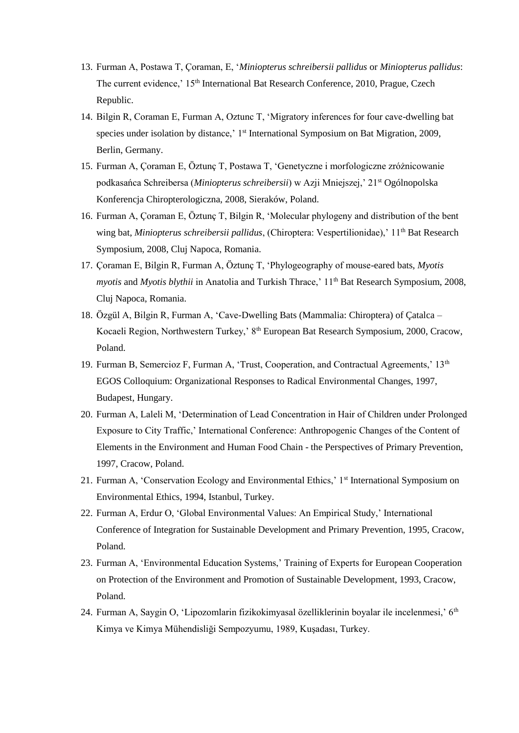- 13. Furman A, Postawa T, Çoraman, E, '*Miniopterus schreibersii pallidus* or *Miniopterus pallidus*: The current evidence,' 15<sup>th</sup> International Bat Research Conference, 2010, Prague, Czech Republic.
- 14. Bilgin R, Coraman E, Furman A, Oztunc T, 'Migratory inferences for four cave-dwelling bat species under isolation by distance,' 1<sup>st</sup> International Symposium on Bat Migration, 2009, Berlin, Germany.
- 15. Furman A, Çoraman E, Öztunç T, Postawa T, 'Genetyczne i morfologiczne zróżnicowanie podkasańca Schreibersa (*Miniopterus schreibersii*) w Azji Mniejszej,' 21st Ogólnopolska Konferencja Chiropterologiczna, 2008, Sieraków, Poland.
- 16. Furman A, Çoraman E, Öztunç T, Bilgin R, 'Molecular phylogeny and distribution of the bent wing bat, *Miniopterus schreibersii pallidus*, (Chiroptera: Vespertilionidae),' 11<sup>th</sup> Bat Research Symposium, 2008, Cluj Napoca, Romania.
- 17. Çoraman E, Bilgin R, Furman A, Öztunç T, 'Phylogeography of mouse-eared bats, *Myotis myotis* and *Myotis blythii* in Anatolia and Turkish Thrace,' 11<sup>th</sup> Bat Research Symposium, 2008, Cluj Napoca, Romania.
- 18. Özgül A, Bilgin R, Furman A, 'Cave-Dwelling Bats (Mammalia: Chiroptera) of Çatalca Kocaeli Region, Northwestern Turkey,' 8th European Bat Research Symposium, 2000, Cracow, Poland.
- 19. Furman B, Semercioz F, Furman A, 'Trust, Cooperation, and Contractual Agreements,' 13<sup>th</sup> EGOS Colloquium: Organizational Responses to Radical Environmental Changes, 1997, Budapest, Hungary.
- 20. Furman A, Laleli M, 'Determination of Lead Concentration in Hair of Children under Prolonged Exposure to City Traffic,' International Conference: Anthropogenic Changes of the Content of Elements in the Environment and Human Food Chain - the Perspectives of Primary Prevention, 1997, Cracow, Poland.
- 21. Furman A, 'Conservation Ecology and Environmental Ethics,' 1<sup>st</sup> International Symposium on Environmental Ethics, 1994, Istanbul, Turkey.
- 22. Furman A, Erdur O, 'Global Environmental Values: An Empirical Study,' International Conference of Integration for Sustainable Development and Primary Prevention, 1995, Cracow, Poland.
- 23. Furman A, 'Environmental Education Systems,' Training of Experts for European Cooperation on Protection of the Environment and Promotion of Sustainable Development, 1993, Cracow, Poland.
- 24. Furman A, Saygin O, 'Lipozomlarin fizikokimyasal özelliklerinin boyalar ile incelenmesi,' 6<sup>th</sup> Kimya ve Kimya Mühendisliği Sempozyumu, 1989, Kuşadası, Turkey.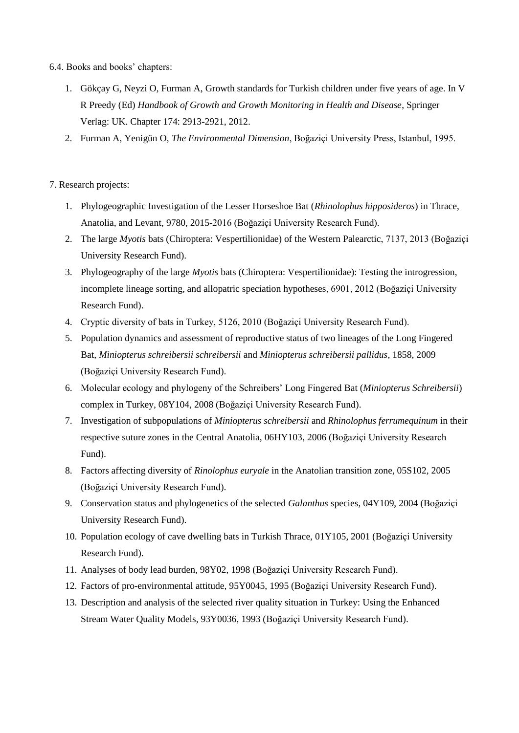- 6.4. Books and books' chapters:
	- 1. Gökçay G, Neyzi O, Furman A, Growth standards for Turkish children under five years of age. In V R Preedy (Ed) *Handbook of Growth and Growth Monitoring in Health and Disease*, Springer Verlag: UK. Chapter 174: 2913-2921, 2012.
	- 2. Furman A, Yenigün O, *The Environmental Dimension*, Boğaziçi University Press, Istanbul, 1995.

# 7. Research projects:

- 1. Phylogeographic Investigation of the Lesser Horseshoe Bat (*Rhinolophus hipposideros*) in Thrace, Anatolia, and Levant, 9780, 2015-2016 (Boğaziçi University Research Fund).
- 2. The large *Myotis* bats (Chiroptera: Vespertilionidae) of the Western Palearctic, 7137, 2013 (Boğaziçi University Research Fund).
- 3. Phylogeography of the large *Myotis* bats (Chiroptera: Vespertilionidae): Testing the introgression, incomplete lineage sorting, and allopatric speciation hypotheses, 6901, 2012 (Boğaziçi University Research Fund).
- 4. Cryptic diversity of bats in Turkey, 5126, 2010 (Boğaziçi University Research Fund).
- 5. Population dynamics and assessment of reproductive status of two lineages of the Long Fingered Bat, *Miniopterus schreibersii schreibersii* and *Miniopterus schreibersii pallidus*, 1858, 2009 (Boğaziçi University Research Fund).
- 6. Molecular ecology and phylogeny of the Schreibers' Long Fingered Bat (*Miniopterus Schreibersii*) complex in Turkey, 08Y104, 2008 (Boğaziçi University Research Fund).
- 7. Investigation of subpopulations of *Miniopterus schreibersii* and *Rhinolophus ferrumequinum* in their respective suture zones in the Central Anatolia, 06HY103, 2006 (Boğaziçi University Research Fund).
- 8. Factors affecting diversity of *Rinolophus euryale* in the Anatolian transition zone, 05S102, 2005 (Boğaziçi University Research Fund).
- 9. Conservation status and phylogenetics of the selected *Galanthus* species, 04Y109, 2004 (Boğaziçi University Research Fund).
- 10. Population ecology of cave dwelling bats in Turkish Thrace, 01Y105, 2001 (Boğaziçi University Research Fund).
- 11. Analyses of body lead burden, 98Y02, 1998 (Boğaziçi University Research Fund).
- 12. Factors of pro-environmental attitude, 95Y0045, 1995 (Boğaziçi University Research Fund).
- 13. Description and analysis of the selected river quality situation in Turkey: Using the Enhanced Stream Water Quality Models, 93Y0036, 1993 (Boğaziçi University Research Fund).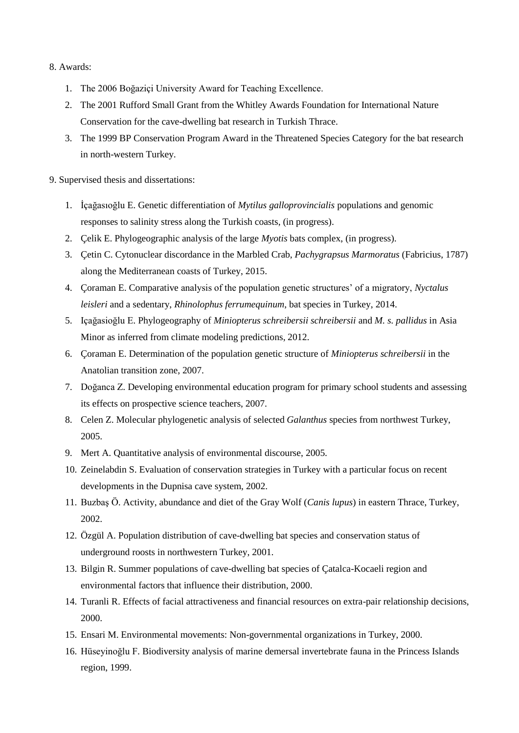# 8. Awards:

- 1. The 2006 Boğaziçi University Award for Teaching Excellence.
- 2. The 2001 Rufford Small Grant from the Whitley Awards Foundation for International Nature Conservation for the cave-dwelling bat research in Turkish Thrace.
- 3. The 1999 BP Conservation Program Award in the Threatened Species Category for the bat research in north-western Turkey.
- 9. Supervised thesis and dissertations:
	- 1. İçağasıoğlu E. Genetic differentiation of *Mytilus galloprovincialis* populations and genomic responses to salinity stress along the Turkish coasts, (in progress).
	- 2. Çelik E. Phylogeographic analysis of the large *Myotis* bats complex, (in progress).
	- 3. Çetin C. Cytonuclear discordance in the Marbled Crab, *Pachygrapsus Marmoratus* (Fabricius, 1787) along the Mediterranean coasts of Turkey, 2015.
	- 4. Çoraman E. Comparative analysis of the population genetic structures' of a migratory, *Nyctalus leisleri* and a sedentary, *Rhinolophus ferrumequinum*, bat species in Turkey, 2014.
	- 5. Içağasioğlu E. Phylogeography of *Miniopterus schreibersii schreibersii* and *M. s. pallidus* in Asia Minor as inferred from climate modeling predictions, 2012.
	- 6. Çoraman E. Determination of the population genetic structure of *Miniopterus schreibersii* in the Anatolian transition zone, 2007.
	- 7. Doğanca Z. Developing environmental education program for primary school students and assessing its effects on prospective science teachers, 2007.
	- 8. Celen Z. Molecular phylogenetic analysis of selected *Galanthus* species from northwest Turkey, 2005.
	- 9. Mert A. Quantitative analysis of environmental discourse, 2005.
	- 10. Zeinelabdin S. Evaluation of conservation strategies in Turkey with a particular focus on recent developments in the Dupnisa cave system, 2002.
	- 11. Buzbaş Ö. Activity, abundance and diet of the Gray Wolf (*Canis lupus*) in eastern Thrace, Turkey, 2002.
	- 12. Özgül A. Population distribution of cave-dwelling bat species and conservation status of underground roosts in northwestern Turkey, 2001.
	- 13. Bilgin R. Summer populations of cave-dwelling bat species of Çatalca-Kocaeli region and environmental factors that influence their distribution, 2000.
	- 14. Turanli R. Effects of facial attractiveness and financial resources on extra-pair relationship decisions, 2000.
	- 15. Ensari M. Environmental movements: Non-governmental organizations in Turkey, 2000.
	- 16. Hüseyinoğlu F. Biodiversity analysis of marine demersal invertebrate fauna in the Princess Islands region, 1999.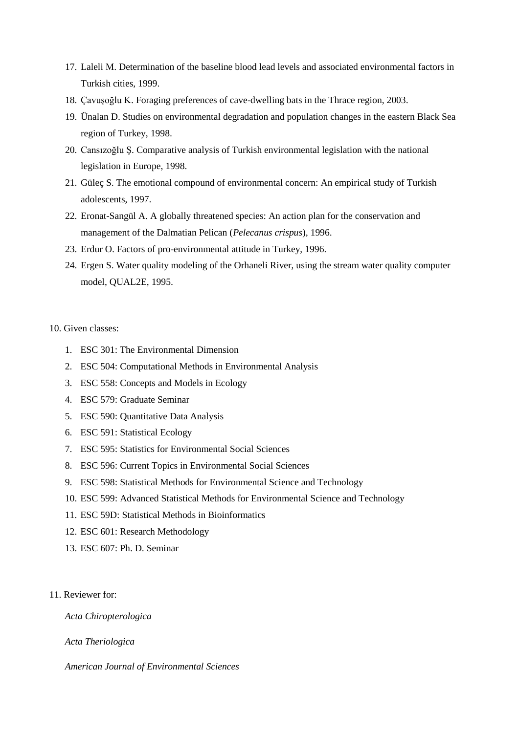- 17. Laleli M. Determination of the baseline blood lead levels and associated environmental factors in Turkish cities, 1999.
- 18. Çavuşoğlu K. Foraging preferences of cave-dwelling bats in the Thrace region, 2003.
- 19. Ünalan D. Studies on environmental degradation and population changes in the eastern Black Sea region of Turkey, 1998.
- 20. Cansızoğlu Ş. Comparative analysis of Turkish environmental legislation with the national legislation in Europe, 1998.
- 21. Güleç S. The emotional compound of environmental concern: An empirical study of Turkish adolescents, 1997.
- 22. Eronat-Sangül A. A globally threatened species: An action plan for the conservation and management of the Dalmatian Pelican (*Pelecanus crispus*), 1996.
- 23. Erdur O. Factors of pro-environmental attitude in Turkey, 1996.
- 24. Ergen S. Water quality modeling of the Orhaneli River, using the stream water quality computer model, QUAL2E, 1995.

# 10. Given classes:

- 1. ESC 301: The Environmental Dimension
- 2. ESC 504: Computational Methods in Environmental Analysis
- 3. ESC 558: Concepts and Models in Ecology
- 4. ESC 579: Graduate Seminar
- 5. ESC 590: Quantitative Data Analysis
- 6. ESC 591: Statistical Ecology
- 7. ESC 595: Statistics for Environmental Social Sciences
- 8. ESC 596: Current Topics in Environmental Social Sciences
- 9. ESC 598: Statistical Methods for Environmental Science and Technology
- 10. ESC 599: Advanced Statistical Methods for Environmental Science and Technology
- 11. ESC 59D: Statistical Methods in Bioinformatics
- 12. ESC 601: Research Methodology
- 13. ESC 607: Ph. D. Seminar
- 11. Reviewer for:

*Acta Chiropterologica*

*Acta Theriologica*

*American Journal of Environmental Sciences*